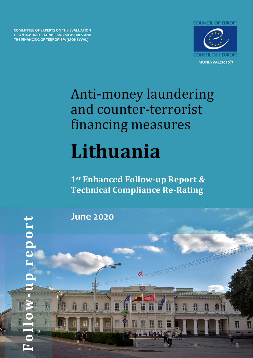**COMMITTEE OF EXPERTS ON THE EVALUATION OF ANTI-MONEY LAUNDERING MEASURES AND THE FINANCING OF TERRORISM (MONEYVAL)**



# Anti-money laundering and counter-terrorist financing measures **Lithuania**

**1st Enhanced Follow-up Report & Technical Compliance Re-Rating**

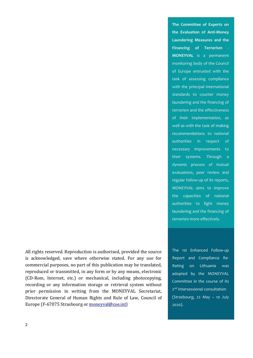All rights reserved. Reproduction is authorised, provided the source is acknowledged, save where otherwise stated. For any use for commercial purposes, no part of this publication may be translated, reproduced or transmitted, in any form or by any means, electronic (CD-Rom, Internet, etc.) or mechanical, including photocopying, recording or any information storage or retrieval system without prior permission in writing from the MONEYVAL Secretariat, Directorate General of Human Rights and Rule of Law, Council of Europe (F-67075 Strasbourg or [moneyval@coe.int\)](mailto:moneyval@coe.int)

**MONEYVAL** is a permanent monitoring body of the Council of Europe entrusted with the task of assessing compliance with the principal international standards to counter money laundering and the financing of terrorism and the effectiveness of their implementation, as well as with the task of making recommendations to national authorities in respect of necessary improvements to their systems. Through a dynamic process of mutual evaluations, peer review and regular follow-up of its reports, MONEYVAL aims to improve the capacities of national authorities to fight money laundering and the financing of terrorism more effectively.

**The Committee of Experts on the Evaluation of Anti-Money Laundering Measures and the Financing of Terrorism** -

The 1st Enhanced Follow-up Report and Compliance Re-Rating on Lithuania was adopted by the MONEYVAL Committee in the course of its 2<sup>nd</sup> Intersessional consultation (Strasbourg, 22 May – 10 July 2020).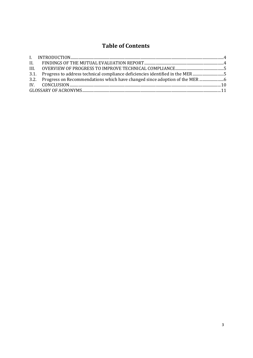# **Table of Contents**

| 3.1. Progress to address technical compliance deficiencies identified in the MER5 |  |
|-----------------------------------------------------------------------------------|--|
| 3.2. Progress on Recommendations which have changed since adoption of the MER     |  |
|                                                                                   |  |
|                                                                                   |  |
|                                                                                   |  |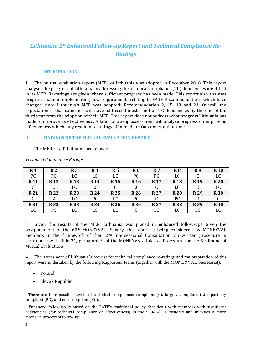# *Lithuania: 1st Enhanced Follow-up Report and Technical Compliance Re-Ratings*

#### <span id="page-3-0"></span>**I. INTRODUCTION**

1. The mutual evaluation report (MER) of Lithuania was adopted in December 2018. This report analyses the progress of Lithuania in addressing the technical compliance (TC) deficiencies identified in its MER. Re-ratings are given where sufficient progress has been made. This report also analyses progress made in implementing new requirements relating to FATF Recommendations which have changed since Lithuania's MER was adopted: Recommendation 2, 15, 18 and 21. Overall, the expectation is that countries will have addressed most if not all TC deficiencies by the end of the third year from the adoption of their MER. This report does not address what progress Lithuania has made to improve its effectiveness. A later follow-up assessment will analyse progress on improving effectiveness which may result in re-ratings of Immediate Outcomes at that time.

#### <span id="page-3-1"></span>**II. FINDINGS OF THE MUTUAL EVALUATION REPORT**

#### 2. The MER rated<sup>1</sup> Lithuania as follows:

| R <sub>1</sub> | R <sub>2</sub> | R <sub>3</sub> | R4          | R <sub>5</sub> | <b>R6</b>       | <b>R</b> 7 | R8         | R9              | <b>R</b> 10 |
|----------------|----------------|----------------|-------------|----------------|-----------------|------------|------------|-----------------|-------------|
| PC             | PC             | LC             | LC          | LC             | PC              | PC         | LC         | C               | LC          |
| <b>R11</b>     | <b>R12</b>     | <b>R13</b>     | <b>R</b> 14 | <b>R15</b>     | R <sub>16</sub> | <b>R17</b> | <b>R18</b> | R <sub>19</sub> | <b>R20</b>  |
| U              | u              | LC             | LC          |                | LC              | U          | LC         | LC              | LC          |
| <b>R21</b>     | <b>R22</b>     | <b>R23</b>     | <b>R24</b>  | <b>R25</b>     | <b>R26</b>      | <b>R27</b> | <b>R28</b> | <b>R29</b>      | <b>R30</b>  |
| C              | LC             | LC             | PC          | LC             | PC              |            | PC         | LC              |             |
| <b>R31</b>     | <b>R32</b>     | <b>R33</b>     | <b>R34</b>  | <b>R35</b>     | <b>R36</b>      | <b>R37</b> | <b>R38</b> | <b>R39</b>      | <b>R40</b>  |
| LC             | PC             | LC             | LC          | LC             |                 | LC         | LC         | LC              | LC          |

*Technical Compliance Ratings* 

3. Given the results of the MER, Lithuania was placed in enhanced follow-up2. Given the postponement of the 60th MONEYVAL Plenary, the report is being considered by MONEYVAL members in the framework of their 2nd Intersessional Consultation via written procedure in accordance with Rule 21, paragraph 9 of the MONEYVAL Rules of Procedure for the  $5<sup>th</sup>$  Round of Mutual Evaluations.

4. The assessment of Lithuania's request for technical compliance re-ratings and the preparation of this report were undertaken by the following Rapporteur teams (together with the MONEYVAL Secretariat):

- Poland
- Slovak Republic

<sup>&</sup>lt;sup>1</sup> There are four possible levels of technical compliance: compliant (C), largely compliant (LC), partially compliant (PC), and non-compliant (NC).

<sup>2</sup> Enhanced follow-up is based on the FATF's traditional policy that deals with members with significant deficiencies (for technical compliance or effectiveness) in their AML/CFT systems and involves a more intensive process of follow-up.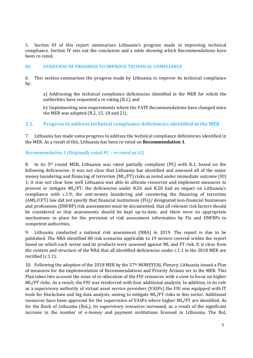5. Section III of this report summarises Lithuania's progress made in improving technical compliance. Section IV sets out the conclusion and a table showing which Recommendations have been re-rated.

#### <span id="page-4-0"></span>**III. OVERVIEW OF PROGRESS TO IMPROVE TECHNICAL COMPLIANCE**

6. This section summarises the progress made by Lithuania to improve its technical compliance by:

a) Addressing the technical compliance deficiencies identified in the MER for which the authorities have requested a re-rating (R.1), and

b) Implementing new requirements where the FATF Recommendations have changed since the MER was adopted (R.2, 15, 18 and 21).

## <span id="page-4-1"></span>**3.1. Progress to address technical compliance deficiencies identified in the MER**

7. Lithuania has made some progress to address the technical compliance deficiencies identified in the MER. As a result of this, Lithuania has been re-rated on **Recommendation 1**.

#### *Recommendation 1 (Originally rated PC – re-rated as LC)*

8. In its 5<sup>th</sup> round MER, Lithuania was rated partially compliant (PC) with R.1, based on the following deficiencies: it was not clear that Lithuania has identified and assessed all of the major money laundering and financing of terrorism (ML/FT) risks as noted under immediate outcome (IO) 1; it was not clear how well Lithuania was able to allocate resources and implement measures to prevent or mitigate ML/FT; the deficiencies under R.26 and R.28 had an impact on Lithuania's compliance with c.1.9; the anti-money laundering and countering the financing of terrorism (AML/CFT) law did not specify that financial institutions (FIs)/ designated non-financial businesses and professions (DNFBP) risk assessments must be documented, that all relevant risk factors should be considered or that assessments should be kept up-to-date; and there were no appropriate mechanisms in place for the provision of risk assessment information by FIs and DNFBPs to competent authorities.

9. Lithuania conducted a national risk assessment (NRA) in 2019. The report is due to be published. The NRA identified 88 risk scenarios applicable to 19 sectors covered within the report based on which each sector and its products were assessed against ML and FT risk. It is clear from the content and structure of the NRA that all identified deficiencies under c.1.1 in the 2018 MER are rectified (c.1.1).

10. Following the adoption of the 2018 MER by the 57th MONEYVAL Plenary, Lithuania issued a Plan of measures for the implementation of Recommendations and Priority Actions set in the MER. This Plan takes into account the issue of re-allocation of the FIU resources with a view to focus on higher ML/FT risks. As a result, the FIU was reinforced with four additional analysts. In addition, in its role as a supervisory authority of virtual asset service providers (VASPs) the FIU was equipped with IT tools for blockchain and big data analysis, aiming to mitigate ML/FT risks in this sector. Additional resources have been approved for the supervision of VASPs where higher ML/FT are identified. As for the Bank of Lithuania (BoL), its supervisory resources increased, as a result of the significant increase in the number of e-money and payment institutions licensed in Lithuania. The BoL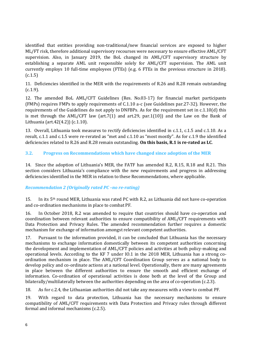identified that entities providing non-traditional/new financial services are exposed to higher ML/FT risk, therefore additional supervisory recourses were necessary to ensure effective AML/CFT supervision. Also, in January 2019, the BoL changed its AML/CFT supervisory structure by establishing a separate AML unit responsible solely for AML/CFT supervision. The AML unit currently employs 10 full-time employees (FTEs) (e.g. 6 FTEs in the previous structure in 2018).  $(c.1.5)$ 

11. Deficiencies identified in the MER with the requirements of R.26 and R.28 remain outstanding (c.1.9).

12. The amended BoL AML/CFT Guidelines (Res. No.03-17) for financial market participants (FMPs) requires FMPs to apply requirements of C.1.10 a-c (see Guidelines par.27-32). However, the requirements of the Guidelines do not apply to DNFBPs. As for the requirement set in c.1.10(d) this is met through the AML/CFT law (art.7(1) and art.29, par.1(10)) and the Law on the Bank of Lithuania (art.42(4.2)) (c.1.10).

13. Overall, Lithuania took measures to rectify deficiencies identified in c.1.1, c.1.5 and c.1.10. As a result, c.1.1 and c.1.5 were re-rerated as "met and c.1.10 as "most mostly". As for c.1.9 the identified deficiencies related to R.26 and R.28 remain outstanding. **On this basis, R.1 is re-rated as LC**.

#### <span id="page-5-0"></span>**3.2. Progress on Recommendations which have changed since adoption of the MER**

14. Since the adoption of Lithuania's MER, the FATF has amended R.2, R.15, R.18 and R.21. This section considers Lithuania's compliance with the new requirements and progress in addressing deficiencies identified in the MER in relation to these Recommendations, where applicable.

#### *Recommendation 2 (Originally rated PC –no re-rating)*

15. In its  $5<sup>th</sup>$  round MER, Lithuania was rated PC with R.2, as Lithuania did not have co-operation and co-ordination mechanisms in place to combat PF.

16. In October 2018, R.2 was amended to require that countries should have co-operation and coordination between relevant authorities to ensure compatibility of AML/CFT requirements with Data Protection and Privacy Rules. The amended recommendation further requires a domestic mechanism for exchange of information amongst relevant competent authorities.

17. Pursuant to the information provided, it can be concluded that Lithuania has the necessary mechanisms to exchange information domestically between its competent authorities concerning the development and implementation of AML/CFT policies and activities at both policy-making and operational levels. According to the KF 7 under IO.1 in the 2018 MER, Lithuania has a strong coordination mechanism in place. The AML/CFT Coordination Group serves as a national body to develop policy and co-ordinate actions at a national level. Operationally, there are many agreements in place between the different authorities to ensure the smooth and efficient exchange of information. Co-ordination of operational activities is done both at the level of the Group and bilaterally/multilaterally between the authorities depending on the area of co-operation (c.2.3).

18. As for c.2.4, the Lithuanian authorities did not take any measures with a view to combat PF.

19. With regard to data protection, Lithuania has the necessary mechanisms to ensure compatibility of AML/CFT requirements with Data Protection and Privacy rules through different formal and informal mechanisms (c.2.5).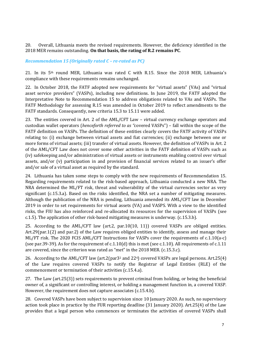20. Overall, Lithuania meets the revised requirements. However, the deficiency identified in the 2018 MER remains outstanding. **On that basis, the rating of R.2 remains PC**.

#### *Recommendation 15 (Originally rated C – re-rated as PC)*

21. In its 5th round MER, Lithuania was rated C with R.15. Since the 2018 MER, Lithuania's compliance with these requirements remains unchanged.

22. In October 2018, the FATF adopted new requirements for "virtual assets" (VAs) and "virtual asset service providers" (VASPs), including new definitions. In June 2019, the FATF adopted the Interpretative Note to Recommendation 15 to address obligations related to VAs and VASPs. The FATF Methodology for assessing R.15 was amended in October 2019 to reflect amendments to the FATF standards. Consequently, new criteria 15.3 to 15.11 were added.

23. The entities covered in Art. 2 of the AML/CFT Law – *v*irtual currency exchange operators and custodian wallet operators (*henceforth referred to as "*covered VASPs") – fall within the scope of the FATF definition on VASPs. The definition of these entities clearly covers the FATF activity of VASPs relating to: (i) exchange between virtual assets and fiat currencies; (ii) exchange between one or more forms of virtual assets; (iii) transfer of virtual assets. However, the definition of VASPs in Art. 2 of the AML/CFT Law does not cover some other activities in the FATF definition of VASPs such as (iv) safekeeping and/or administration of virtual assets or instruments enabling control over virtual assets, and/or (v) participation in and provision of financial services related to an issuer's offer and/or sale of a virtual asset as required by the standard.

24. Lithuania has taken some steps to comply with the new requirements of Recommendation 15. Regarding requirements related to the risk-based approach, Lithuania conducted a new NRA. The NRA determined the ML/FT risk, threat and vulnerability of the virtual currencies sector as very significant (c.15.3.a). Based on the risks identified, the NRA set a number of mitigating measures. Although the publication of the NRA is pending, Lithuania amended its AML/CFT law in December 2019 in order to set requirements for virtual assets (VA) and VASPS. With a view to the identified risks, the FIU has also reinforced and re-allocated its resources for the supervision of VASPs (see c.1.5). The application of other risk-based mitigating measures is underway. (c.15.3.b).

25. According to the AML/CFT law (art.2, par.10(10, 11)) covered VASPs are obliged entities. Art.29(par.1(2) and par.2) of the Law requires obliged entities to identify, assess and manage their ML/FT risk. The 2020 FCIS AML/CFT Instructions for VASPs cover the requirements of c.1.10(a-c) (see par.39-39). As for the requirement of c.1.10(d) this is met (see c.1.10). All requirements of c.1.11 are covered, since the criterion was rated as "met" in the 2018 MER. (c.15.3.c).

26. According to the AML/CFT law (art.2(par3<sup>2</sup> and 224) covered VASPs are legal persons. Art.25(4) of the Law requires covered VASPs to notify the Registrar of Legal Entities (RLE) of the commencement or termination of their activities (c.15.4.a).

27. The Law (art.25(3)) sets requirements to prevent criminal from holding, or being the beneficial owner of, a significant or controlling interest, or holding a management function in, a covered VASP. However, the requirement does not capture associates (c.15.4.b).

28. Covered VASPs have been subject to supervision since 10 January 2020. As such, no supervisory action took place in practice by the FUR reporting deadline (31 January 2020). Art.25(4) of the Law provides that a legal person who commences or terminates the activities of covered VASPs shall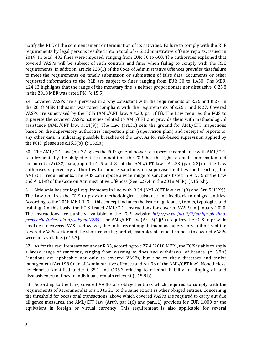notify the RLE of the commencement or termination of its activities. Failure to comply with the RLE requirements by legal persons resulted into a total of 612 administrative offense reports, issued in 2019. In total, 432 fines were imposed, ranging from EUR 30 to 600. The authorities explained that covered VASPs will be subject of such controls and fines when failing to comply with the RLE requirements. In addition, article 223(1) of the Code of Administrative Offences provides that failure to meet the requirements on timely submission or submission of false data, documents or other requested information to the RLE are subject to fines ranging from EUR 30 to 1,450. The MER, c.24.13 highlights that the range of the monetary fine is neither proportionate nor dissuasive. C.25.8 in the 2018 MER was rated PM. (c.15.5).

29. Covered VASPs are supervised in a way consistent with the requirements of R.26 and R.27. In the 2018 MER Lithuania was rated compliant with the requirements of c.26.1 and R.27. Covered VASPs are supervised by the FCIS (AML/CFT law, Art.30, par.1(1)). The Law requires the FCIS to supervise the covered VASPs activities related to AML/CFT and provide them with methodological assistance (AML/CFT law, art.4(9)). The Law (art.31) sets the ground for  $AML/CFT$  inspections based on the supervisory authorities' inspection plan (supervision plan) and receipt of reports or any other data in indicating possible breaches of the Law. As for risk-based supervision applied by the FCIS, please see c.15.3(b). (c.15.6.a)

30. The AML/CFT law (Art.32) gives the FCIS general power to supervise compliance with AML/CFT requirements by the obliged entities. In addition, the FCIS has the right to obtain information and documents (Art.32, paragraph 1 (4, 5 and 8) of the AML/CFT law). Art.33 (par.2(2)) of the Law authorises supervisory authorities to impose sanctions on supervised entities for breaching the AML/CFT requirements. The FCIS can impose a wide range of sanctions listed in Art. 36 of the Law and Art.198 of the Code on Administrative Offences (See C.27.4 in the 2018 MER). (c.15.6.b).

31. Lithuania has set legal requirements in line with R.34 (AML/CFT law art.4(9) and Art. 5(1)(9)). The Law requires the FCIS to provide methodological assistance and feedback to obliged entities. According to the 2018 MER (R.34) this concept includes the issue of guidance, trends, typologies and training. On this basis, the FCIS issued AML/CFT Instructions for covered VASPs in January 2020. The Instructions are publicly available in the FCIS website *[http://www.fntt.lt/lt/pinigu-plovimo](http://www.fntt.lt/lt/pinigu-plovimo-prevencija/teises-aktai/isakymai/285)[prevencija/teises-aktai/isakymai/285](http://www.fntt.lt/lt/pinigu-plovimo-prevencija/teises-aktai/isakymai/285)* . The AML/CFT law (Art. 5(1)(9)) requires the FCIS to provide feedback to covered VASPs. However, due to its recent appointment as supervisory authority of the covered VASPs sector and the short reporting period, examples of actual feedback to covered VASPs were not available. (c.15.7).

32. As for the requirements set under R.35, according to c.27.4 (2018 MER), the FCIS is able to apply a broad range of sanctions, ranging from warning to fines and withdrawal of licence. (c.15.8.a) Sanctions are applicable not only to covered VASPs, but also to their directors and senior management (Art.198 Code of Administrative offences and Art.36 of the AML/CFT law). Nonetheless, deficiencies identified under C.35.1 and C.35.2 relating to criminal liability for tipping off and dissuasiveness of fines to individuals remain relevant (c.15.8.b).

33. According to the Law, covered VASPs are obliged entities which required to comply with the requirements of Recommendations 10 to 21, to the same extent as other obliged entities. Concerning the threshold for occasional transactions, above which covered VASPs are required to carry out due diligence measures, the AML/CFT law (Art.9, par.1(6) and par.11) provides for EUR 1,000 or the equivalent in foreign or virtual currency. This requirement is also applicable for several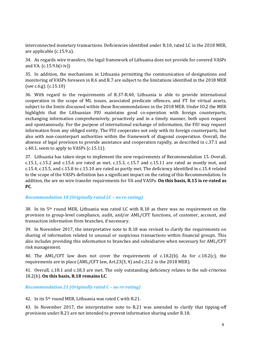interconnected monetary transactions. Deficiencies identified under R.10, rated LC in the 2018 MER, are applicable (c.15.9.a).

34. As regards wire transfers, the legal framework of Lithuania does not provide for covered VASPs and VA. (c.15.9.b(i-iv))

35. In addition, the mechanisms in Lithuania permitting the communication of designations and monitoring of VASPs foreseen in R.6 and R.7 are subject to the limitations identified in the 2018 MER (see c.6.g). (c.15.10)

36. With regard to the requirements of R.37-R.40, Lithuania is able to provide international cooperation in the scope of ML issues, associated predicate offences, and FT for virtual assets, subject to the limits discussed within these Recommendations in the 2018 MER. Under IO.2 the MER highlights that the Lithuanian FIU maintains good co-operation with foreign counterparts, exchanging information comprehensively, proactively and in a timely manner, both upon request and spontaneously. For the purpose of international exchange of information, the FIU may request information from any obliged entity. The FIU cooperates not only with its foreign counterparts, but also with non-counterpart authorities within the framework of diagonal cooperation. Overall, the absence of legal provision to provide assistance and cooperation rapidly, as described in c.37.1 and c.40.1, seem to apply to VASPs (c.15.11).

37. Lithuania has taken steps to implement the new requirements of Recommendation 15. Overall, c.15.1, c.15.2 and c.15.6 are rated as met, c.15.3, c.15.7 and c.15.11 are rated as mostly met, and c.15.4, c.15.5, and c.15.8 to c.15.10 are rated as partly met. The deficiency identified in c.15.4 related to the scope of the VASPs definition has a significant impact on the rating of this Recommendation. In addition, the are no wire transfer requirements for VA and VASPs. **On this basis, R.15 is re-rated as PC**.

#### *Recommendation 18 (Originally rated LC – no re-rating)*

38. In its  $5<sup>th</sup>$  round MER, Lithuania was rated LC with R.18 as there was no requirement on the provision to group-level compliance, audit, and/or AML/CFT functions, of customer, account, and transaction information from branches, if necessary.

39. In November 2017, the interpretative note to R.18 was revised to clarify the requirements on sharing of information related to unusual or suspicious transactions within financial groups. This also includes providing this information to branches and subsidiaries when necessary for AML/CFT risk management.

40. The AML/CFT law does not cover the requirements of c.18.2(b). As for c.18.2(c), the requirements are in place (AML/CFT law, Art.23(3, 4) and c.21.2 in the 2018 MER).

41. Overall, c.18.1 and c.18.3 are met. The only outstanding deficiency relates to the sub-criterion 18.2(b). **On this basis, R.18 remains LC**.

*Recommendation 21 (Originally rated C – no re-rating)* 

42. In its 5th round MER, Lithuania was rated C with R.21.

43. In November 2017, the interpretative note to R.21 was amended to clarify that tipping-off provisions under R.21 are not intended to prevent information sharing under R.18.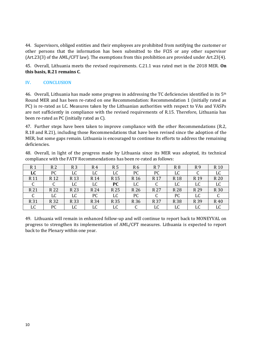44. Supervisors, obliged entities and their employees are prohibited from notifying the customer or other persons that the information has been submitted to the FCIS or any other supervisor (Art.23(3) of the AML/CFT law). The exemptions from this prohibition are provided under Art.23(4).

45. Overall, Lithuania meets the revised requirements. C.21.1 was rated met in the 2018 MER. **On this basis, R.21 remains C**.

#### <span id="page-9-0"></span>**IV. CONCLUSION**

46. Overall, Lithuania has made some progress in addressing the TC deficiencies identified in its  $5<sup>th</sup>$ Round MER and has been re-rated on one Recommendation: Recommendation 1 (initially rated as PC) is re-rated as LC. Measures taken by the Lithuanian authorities with respect to VAs and VASPs are not sufficiently in compliance with the revised requirements of R.15. Therefore, Lithuania has been re-rated as PC (initially rated as C).

47. Further steps have been taken to improve compliance with the other Recommendations (R.2, R.18 and R.21), including those Recommendations that have been revised since the adoption of the MER, but some gaps remain. Lithuania is encouraged to continue its efforts to address the remaining deficiencies.

48. Overall, in light of the progress made by Lithuania since its MER was adopted, its technical compliance with the FATF Recommendations has been re-rated as follows:

| R <sub>1</sub>  | R <sub>2</sub>  | R <sub>3</sub>  | R4   | R 5             | R <sub>6</sub>  | R 7             | R <sub>8</sub> | R9              | R <sub>10</sub> |
|-----------------|-----------------|-----------------|------|-----------------|-----------------|-----------------|----------------|-----------------|-----------------|
| LC              | PC              | LC              | LC   | LC              | PC              | PC              | LC             | C               | LC              |
| R <sub>11</sub> | R <sub>12</sub> | R <sub>13</sub> | R 14 | R <sub>15</sub> | R <sub>16</sub> | R <sub>17</sub> | R 18           | R <sub>19</sub> | R 20            |
| C<br>◡          | <b>1.</b>       | LC              | LC   | <b>PC</b>       | LC              | C               | LC             | LC              | LC              |
| R 21            | R 22            | R 23            | R 24 | R 25            | R 26            | R 27            | R 28           | R 29            | R 30            |
|                 | LC              | LC              | PC   | LC              | PC              |                 | PC             | LC              |                 |
| R 31            | R 32            | R 33            | R 34 | R 35            | R 36            | R 37            | R 38           | R 39            | R 40            |
| LC              | PC              | LC              | LC   | LC              |                 | LC              | LC             | LC              | LC              |

49. Lithuania will remain in enhanced follow-up and will continue to report back to MONEYVAL on progress to strengthen its implementation of AML/CFT measures. Lithuania is expected to report back to the Plenary within one year.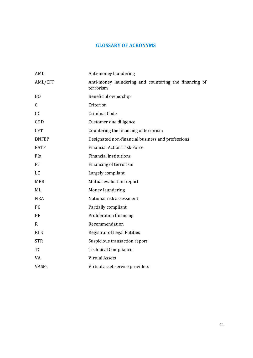# **GLOSSARY OF ACRONYMS**

<span id="page-10-0"></span>

| AML            | Anti-money laundering                                              |
|----------------|--------------------------------------------------------------------|
| AML/CFT        | Anti-money laundering and countering the financing of<br>terrorism |
| B <sub>O</sub> | Beneficial ownership                                               |
| $\mathsf{C}$   | Criterion                                                          |
| cc             | <b>Criminal Code</b>                                               |
| CDD            | Customer due diligence                                             |
| <b>CFT</b>     | Countering the financing of terrorism                              |
| <b>DNFBP</b>   | Designated non-financial business and professions                  |
| <b>FATF</b>    | <b>Financial Action Task Force</b>                                 |
| FIs            | <b>Financial institutions</b>                                      |
| <b>FT</b>      | Financing of terrorism                                             |
| LC             | Largely compliant                                                  |
| <b>MER</b>     | Mutual evaluation report                                           |
| ML             | Money laundering                                                   |
| <b>NRA</b>     | National risk assessment                                           |
| PC             | Partially compliant                                                |
| PF             | Proliferation financing                                            |
| $\mathbf R$    | Recommendation                                                     |
| <b>RLE</b>     | <b>Registrar of Legal Entities</b>                                 |
| <b>STR</b>     | Suspicious transaction report                                      |
| TC             | <b>Technical Compliance</b>                                        |
| VA             | <b>Virtual Assets</b>                                              |
| <b>VASPs</b>   | Virtual asset service providers                                    |